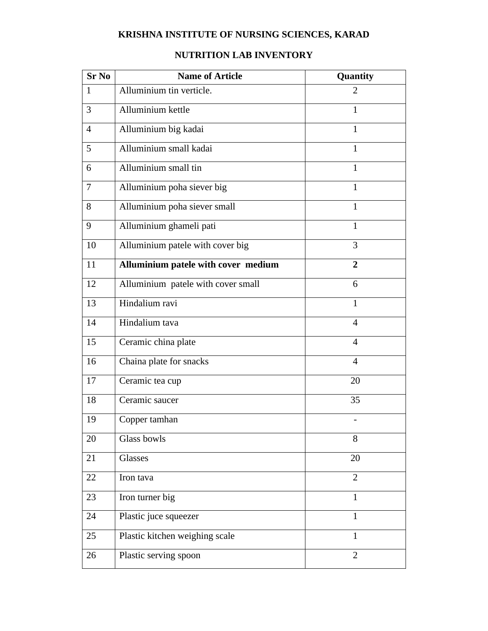## **KRISHNA INSTITUTE OF NURSING SCIENCES, KARAD**

## **Sr No Name of Article <b>Quantity Quantity** 1 Alluminium tin verticle. 2 3 Alluminium kettle 1 4 Alluminium big kadai 1 5 | Alluminium small kadai 1  $\begin{array}{c|c|c|c|c} \hline \text{6} & \text{All} \text{uninium small tin} \end{array}$  1 7 Alluminium poha siever big 1 8 | Alluminium poha siever small 1 9 Alluminium ghameli pati 1 10 Alluminium patele with cover big 3 11 **Alluminium patele with cover medium 2** 12 Alluminium patele with cover small 6 13 Hindalium ravi 1 14 | Hindalium tava **4** 15 Ceramic china plate 4 16 Chaina plate for snacks 4 17 Ceramic tea cup 20 18 Ceramic saucer 35 19 Copper tamhan - $20$  Glass bowls 8 21 Glasses 20 22 Iron tava 2 23 Iron turner big  $1$ 24 Plastic juce squeezer 1 25 Plastic kitchen weighing scale 1 26 Plastic serving spoon 2

## **NUTRITION LAB INVENTORY**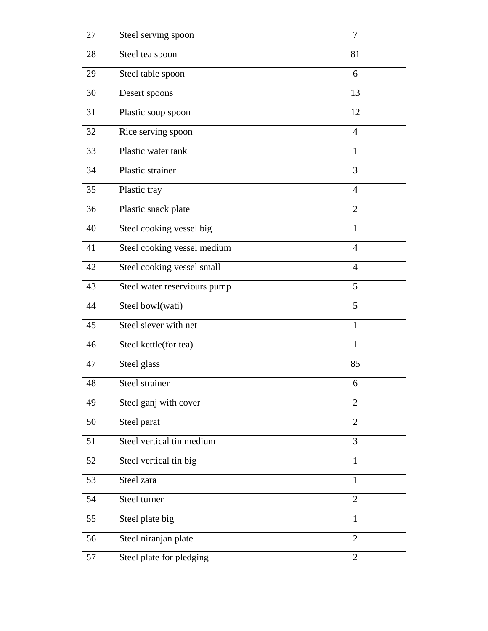| 27 | Steel serving spoon          | 7              |
|----|------------------------------|----------------|
| 28 | Steel tea spoon              | 81             |
| 29 | Steel table spoon            | 6              |
| 30 | Desert spoons                | 13             |
| 31 | Plastic soup spoon           | 12             |
| 32 | Rice serving spoon           | $\overline{4}$ |
| 33 | Plastic water tank           | $\mathbf{1}$   |
| 34 | Plastic strainer             | 3              |
| 35 | Plastic tray                 | $\overline{4}$ |
| 36 | Plastic snack plate          | $\overline{2}$ |
| 40 | Steel cooking vessel big     | $\mathbf{1}$   |
| 41 | Steel cooking vessel medium  | $\overline{4}$ |
| 42 | Steel cooking vessel small   | $\overline{4}$ |
| 43 | Steel water reserviours pump | 5              |
| 44 | Steel bowl(wati)             | 5              |
| 45 | Steel siever with net        | $\mathbf{1}$   |
| 46 | Steel kettle(for tea)        | $\mathbf{1}$   |
| 47 | Steel glass                  | 85             |
| 48 | Steel strainer               | 6              |
| 49 | Steel ganj with cover        | $\overline{2}$ |
| 50 | Steel parat                  | $\overline{2}$ |
| 51 | Steel vertical tin medium    | 3              |
| 52 | Steel vertical tin big       | 1              |
| 53 | Steel zara                   | 1              |
| 54 | Steel turner                 | $\overline{2}$ |
| 55 | Steel plate big              | $\mathbf{1}$   |
| 56 | Steel niranjan plate         | $\overline{2}$ |
| 57 | Steel plate for pledging     | $\overline{2}$ |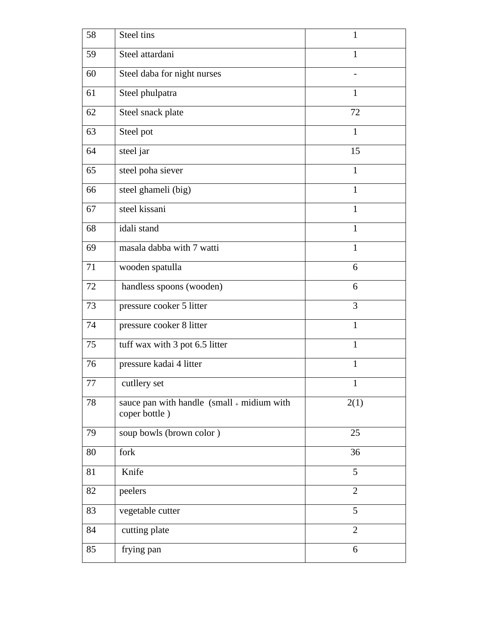| 58 | Steel tins                                                     | 1              |
|----|----------------------------------------------------------------|----------------|
| 59 | Steel attardani                                                | 1              |
| 60 | Steel daba for night nurses                                    |                |
| 61 | Steel phulpatra                                                | 1              |
| 62 | Steel snack plate                                              | 72             |
| 63 | Steel pot                                                      | $\mathbf{1}$   |
| 64 | steel jar                                                      | 15             |
| 65 | steel poha siever                                              | $\mathbf{1}$   |
| 66 | steel ghameli (big)                                            | $\mathbf{1}$   |
| 67 | steel kissani                                                  | $\mathbf{1}$   |
| 68 | idali stand                                                    | $\mathbf{1}$   |
| 69 | masala dabba with 7 watti                                      | $\mathbf{1}$   |
| 71 | wooden spatulla                                                | 6              |
| 72 | handless spoons (wooden)                                       | 6              |
| 73 | pressure cooker 5 litter                                       | 3              |
| 74 | pressure cooker 8 litter                                       | $\mathbf{1}$   |
| 75 | tuff wax with 3 pot 6.5 litter                                 | $\mathbf{1}$   |
| 76 | pressure kadai 4 litter                                        | 1              |
| 77 | cutllery set                                                   | 1              |
| 78 | sauce pan with handle $(small + midium with)$<br>coper bottle) | 2(1)           |
| 79 | soup bowls (brown color)                                       | 25             |
| 80 | fork                                                           | 36             |
| 81 | Knife                                                          | 5              |
| 82 | peelers                                                        | $\overline{2}$ |
| 83 | vegetable cutter                                               | 5              |
| 84 | cutting plate                                                  | $\overline{2}$ |
| 85 | frying pan                                                     | 6              |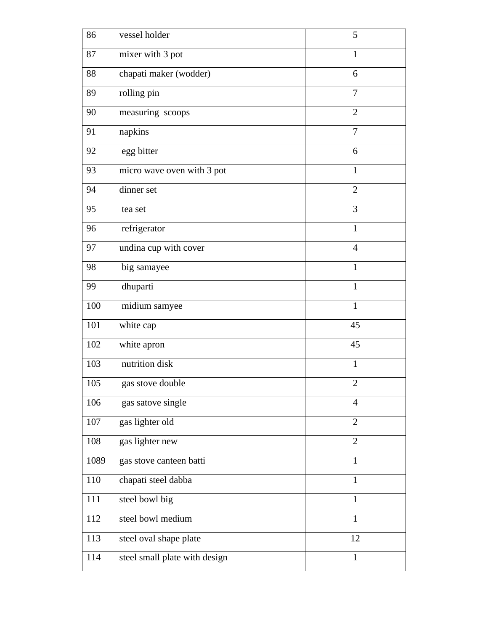| 86   | vessel holder                 | 5              |
|------|-------------------------------|----------------|
| 87   | mixer with 3 pot              | $\mathbf{1}$   |
| 88   | chapati maker (wodder)        | 6              |
| 89   | rolling pin                   | 7              |
| 90   | measuring scoops              | $\overline{2}$ |
| 91   | napkins                       | 7              |
| 92   | egg bitter                    | 6              |
| 93   | micro wave oven with 3 pot    | $\mathbf{1}$   |
| 94   | dinner set                    | $\overline{2}$ |
| 95   | tea set                       | 3              |
| 96   | refrigerator                  | $\mathbf{1}$   |
| 97   | undina cup with cover         | $\overline{4}$ |
| 98   | big samayee                   | $\mathbf{1}$   |
| 99   | dhuparti                      | $\mathbf{1}$   |
| 100  | midium samyee                 | $\mathbf{1}$   |
| 101  | white cap                     | 45             |
| 102  | white apron                   | 45             |
| 103  | nutrition disk                | $\mathbf{1}$   |
| 105  | gas stove double              | $\overline{2}$ |
| 106  | gas satove single             | $\overline{4}$ |
| 107  | gas lighter old               | $\overline{2}$ |
| 108  | gas lighter new               | $\overline{2}$ |
| 1089 | gas stove canteen batti       | $\mathbf{1}$   |
| 110  | chapati steel dabba           | 1              |
| 111  | steel bowl big                | 1              |
| 112  | steel bowl medium             | 1              |
| 113  | steel oval shape plate        | 12             |
| 114  | steel small plate with design | $\mathbf{1}$   |